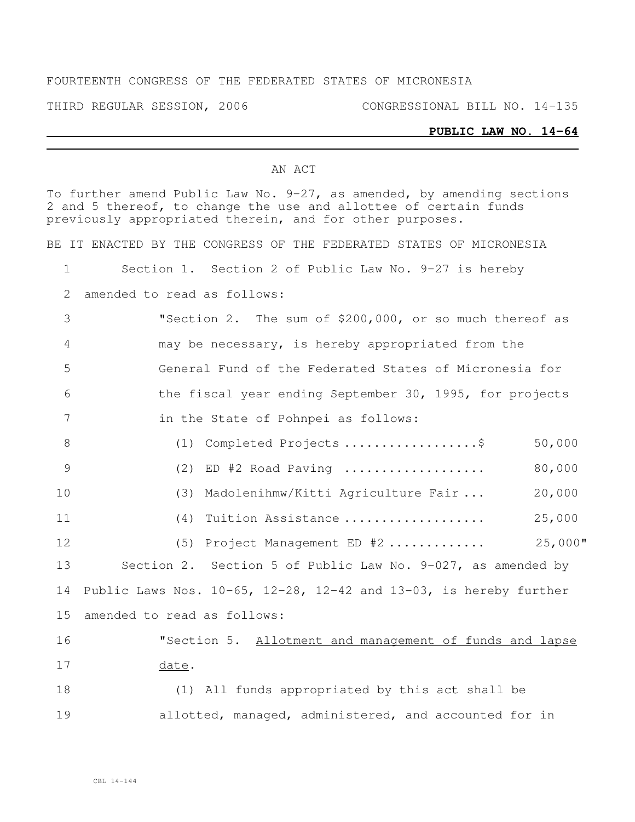### FOURTEENTH CONGRESS OF THE FEDERATED STATES OF MICRONESIA

THIRD REGULAR SESSION, 2006 CONGRESSIONAL BILL NO. 14-135

#### **PUBLIC LAW NO. 14-64**

### AN ACT

To further amend Public Law No. 9-27, as amended, by amending sections and 5 thereof, to change the use and allottee of certain funds previously appropriated therein, and for other purposes.

BE IT ENACTED BY THE CONGRESS OF THE FEDERATED STATES OF MICRONESIA

Section 1. Section 2 of Public Law No. 9-27 is hereby

amended to read as follows:

 "Section 2. The sum of \$200,000, or so much thereof as may be necessary, is hereby appropriated from the General Fund of the Federated States of Micronesia for the fiscal year ending September 30, 1995, for projects in the State of Pohnpei as follows:

 (1) Completed Projects ..................\$ 50,000 (2) ED #2 Road Paving ................... 80,000 (3) Madolenihmw/Kitti Agriculture Fair ... 20,000 (4) Tuition Assistance ................... 25,000

 (5) Project Management ED #2 ............. 25,000" Section 2. Section 5 of Public Law No. 9-027, as amended by Public Laws Nos. 10-65, 12-28, 12-42 and 13-03, is hereby further amended to read as follows:

# "Section 5. Allotment and management of funds and lapse date.

 (1) All funds appropriated by this act shall be 19 allotted, managed, administered, and accounted for in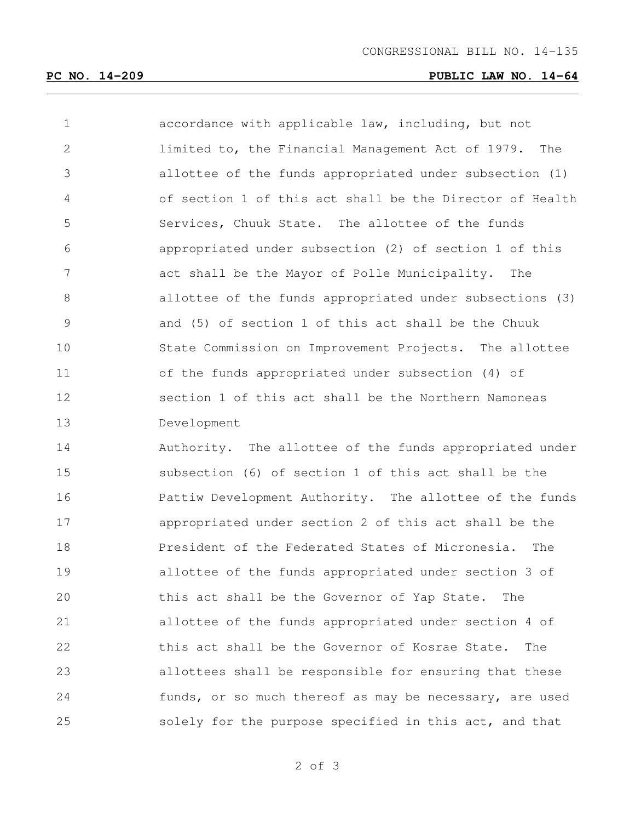## **PC NO. 14-209 PUBLIC LAW NO. 14-64**

| 1              | accordance with applicable law, including, but not       |
|----------------|----------------------------------------------------------|
| $\overline{2}$ | limited to, the Financial Management Act of 1979. The    |
| 3              | allottee of the funds appropriated under subsection (1)  |
| 4              | of section 1 of this act shall be the Director of Health |
| 5              | Services, Chuuk State. The allottee of the funds         |
| 6              | appropriated under subsection (2) of section 1 of this   |
| 7              | act shall be the Mayor of Polle Municipality. The        |
| 8              | allottee of the funds appropriated under subsections (3) |
| $\mathcal{G}$  | and (5) of section 1 of this act shall be the Chuuk      |
| 10             | State Commission on Improvement Projects. The allottee   |
| 11             | of the funds appropriated under subsection (4) of        |
| 12             | section 1 of this act shall be the Northern Namoneas     |
| 13             | Development                                              |
|                |                                                          |
| 14             | Authority. The allottee of the funds appropriated under  |
| 15             | subsection (6) of section 1 of this act shall be the     |
| 16             | Pattiw Development Authority. The allottee of the funds  |
| 17             | appropriated under section 2 of this act shall be the    |
| 18             | President of the Federated States of Micronesia.<br>The  |
| 19             | allottee of the funds appropriated under section 3 of    |
| 20             | this act shall be the Governor of Yap State.<br>The      |
| 21             | allottee of the funds appropriated under section 4 of    |
| 22             | this act shall be the Governor of Kosrae State.<br>The   |
| 23             | allottees shall be responsible for ensuring that these   |

solely for the purpose specified in this act, and that

of 3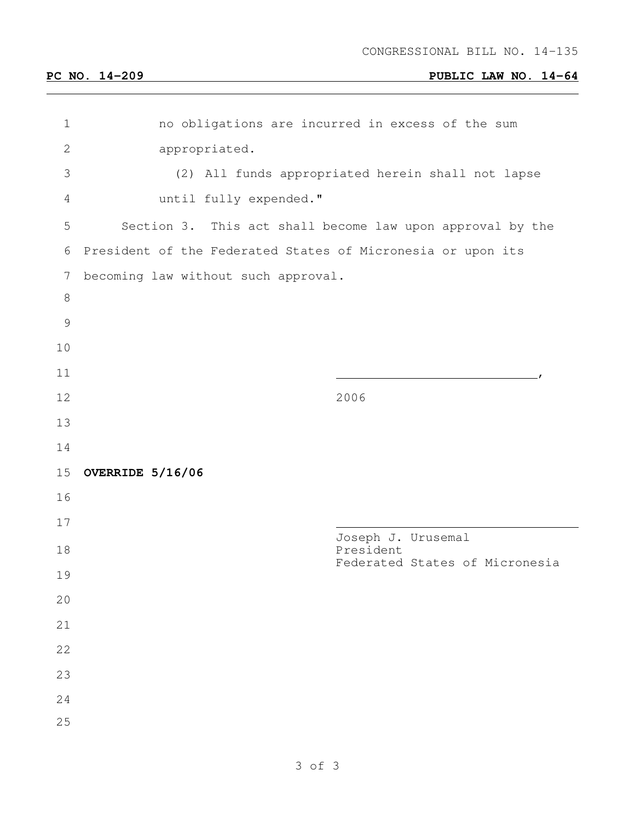## **PC NO. 14-209 PUBLIC LAW NO. 14-64**

| $\mathbf 1$    | no obligations are incurred in excess of the sum            |
|----------------|-------------------------------------------------------------|
| $\mathbf{2}$   | appropriated.                                               |
| 3              | (2) All funds appropriated herein shall not lapse           |
| $\overline{4}$ | until fully expended."                                      |
| $\mathsf S$    | Section 3. This act shall become law upon approval by the   |
| 6              | President of the Federated States of Micronesia or upon its |
| 7              | becoming law without such approval.                         |
| $\,8\,$        |                                                             |
| $\mathcal{G}$  |                                                             |
| 10             |                                                             |
| 11             |                                                             |
| 12             | 2006                                                        |
| 13             |                                                             |
| 14             |                                                             |
| 15             | OVERRIDE 5/16/06                                            |
| 16             |                                                             |
| 17             |                                                             |
| 18             | Joseph J. Urusemal<br>President                             |
| 19             | Federated States of Micronesia                              |
| 20             |                                                             |
| 21             |                                                             |
| 22             |                                                             |
| 23             |                                                             |
| 24             |                                                             |
|                |                                                             |